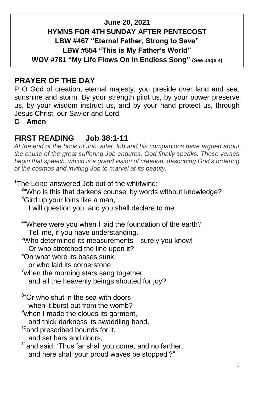#### **June 20, 2021 HYMNS FOR 4TH SUNDAY AFTER PENTECOST LBW #467 "Eternal Father, Strong to Save" LBW #554 "This is My Father's World" WOV #781 "My Life Flows On In Endless Song" (See page 4)**

## **PRAYER OF THE DAY**

P O God of creation, eternal majesty, you preside over land and sea, sunshine and storm. By your strength pilot us, by your power preserve us, by your wisdom instruct us, and by your hand protect us, through Jesus Christ, our Savior and Lord.

**C Amen**

### **FIRST READING Job 38:1-11**

*At the end of the book of Job, after Job and his companions have argued about the cause of the great suffering Job endures, God finally speaks. These verses begin that speech, which is a grand vision of creation, describing God's ordering of the cosmos and inviting Job to marvel at its beauty.*

<sup>1</sup>The LORD answered Job out of the whirlwind:

<sup>2</sup>"Who is this that darkens counsel by words without knowledge?  $3$ Gird up vour loins like a man,

I will question you, and you shall declare to me.

<sup>4</sup> Where were you when I laid the foundation of the earth? Tell me, if you have understanding.

<sup>5</sup>Who determined its measurements—surely you know!

Or who stretched the line upon it?

 $6$ On what were its bases sunk,

or who laid its cornerstone

 $7$ when the morning stars sang together and all the heavenly beings shouted for joy?

<sup>8</sup>"Or who shut in the sea with doors

when it burst out from the womb?— 9when I made the clouds its garment.

and thick darkness its swaddling band,

 $10$ and prescribed bounds for it,

and set bars and doors,

<sup>11</sup> and said, 'Thus far shall you come, and no farther, and here shall your proud waves be stopped'?"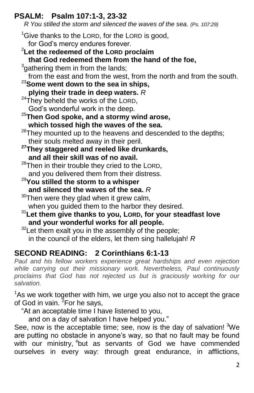# **PSALM: Psalm 107:1-3, 23-32**

 *R You stilled the storm and silenced the waves of the sea. (Ps. 107:29)*

- $1$ Give thanks to the LORD, for the LORD is good, for God's mercy endures forever. <sup>2</sup>**Let the redeemed of the LORD proclaim**
- **that God redeemed them from the hand of the foe,**
- $3$ gathering them in from the lands;

from the east and from the west, from the north and from the south.

- <sup>23</sup>**Some went down to the sea in ships, plying their trade in deep waters.** *R*
- $24$ They beheld the works of the LORD, God's wonderful work in the deep.
- <sup>25</sup>**Then God spoke, and a stormy wind arose, which tossed high the waves of the sea.**
- $26$ They mounted up to the heavens and descended to the depths; their souls melted away in their peril.
- **<sup>27</sup>They staggered and reeled like drunkards, and all their skill was of no avail.**
- $28$ Then in their trouble they cried to the LORD, and you delivered them from their distress.
- <sup>29</sup>**You stilled the storm to a whisper and silenced the waves of the sea.** *R*
- $30$ Then were they glad when it grew calm, when you guided them to the harbor they desired.
- <sup>31</sup>**Let them give thanks to you, LORD, for your steadfast love and your wonderful works for all people.**
- $32$ Let them exalt you in the assembly of the people; in the council of the elders, let them sing hallelujah! *R*

# **SECOND READING: 2 Corinthians 6:1-13**

Paul and his fellow workers experience great hardships and even rejection *while carrying out their missionary work. Nevertheless, Paul continuously proclaims that God has not rejected us but is graciously working for our salvation.*

 $1$ As we work together with him, we urge you also not to accept the grace of God in vain.  $^{2}$ For he says,

"At an acceptable time I have listened to you,

and on a day of salvation I have helped you."

See, now is the acceptable time; see, now is the day of salvation!  $3\text{We}$ are putting no obstacle in anyone's way, so that no fault may be found with our ministry, <sup>4</sup>but as servants of God we have commended ourselves in every way: through great endurance, in afflictions,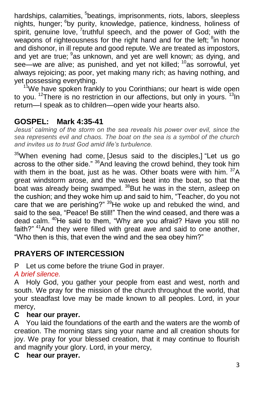hardships, calamities, <sup>5</sup>beatings, imprisonments, riots, labors, sleepless nights, hunger; <sup>6</sup>by purity, knowledge, patience, kindness, holiness of spirit, genuine love, <sup>7</sup>truthful speech, and the power of God; with the weapons of righteousness for the right hand and for the left; <sup>8</sup>in honor and dishonor, in ill repute and good repute. We are treated as impostors, and yet are true; <sup>9</sup>as unknown, and yet are well known; as dying, and see—we are alive; as punished, and yet not killed; <sup>10</sup>as sorrowful, yet always rejoicing; as poor, yet making many rich; as having nothing, and yet possessing everything.

 $11$ We have spoken frankly to you Corinthians; our heart is wide open to you.  $12$ There is no restriction in our affections, but only in yours.  $13$ In return—I speak as to children—open wide your hearts also.

# **GOSPEL: Mark 4:35-41**

*Jesus' calming of the storm on the sea reveals his power over evil, since the sea represents evil and chaos. The boat on the sea is a symbol of the church and invites us to trust God amid life's turbulence.*

<sup>35</sup>When evening had come, [Jesus said to the disciples,] "Let us go across to the other side." <sup>36</sup> And leaving the crowd behind, they took him with them in the boat, just as he was. Other boats were with him.  $37A$ great windstorm arose, and the waves beat into the boat, so that the boat was already being swamped. <sup>38</sup>But he was in the stern, asleep on the cushion; and they woke him up and said to him, "Teacher, do you not care that we are perishing?" <sup>39</sup>He woke up and rebuked the wind, and said to the sea, "Peace! Be still!" Then the wind ceased, and there was a dead calm. <sup>40</sup>He said to them, "Why are you afraid? Have you still no faith?" <sup>41</sup>And they were filled with great awe and said to one another, "Who then is this, that even the wind and the sea obey him?"

### **PRAYERS OF INTERCESSION**

P Let us come before the triune God in prayer.

#### *A brief silence.*

A Holy God, you gather your people from east and west, north and south. We pray for the mission of the church throughout the world, that your steadfast love may be made known to all peoples. Lord, in your mercy,

#### **C hear our prayer.**

A You laid the foundations of the earth and the waters are the womb of creation. The morning stars sing your name and all creation shouts for joy. We pray for your blessed creation, that it may continue to flourish and magnify your glory. Lord, in your mercy,

#### **C hear our prayer.**